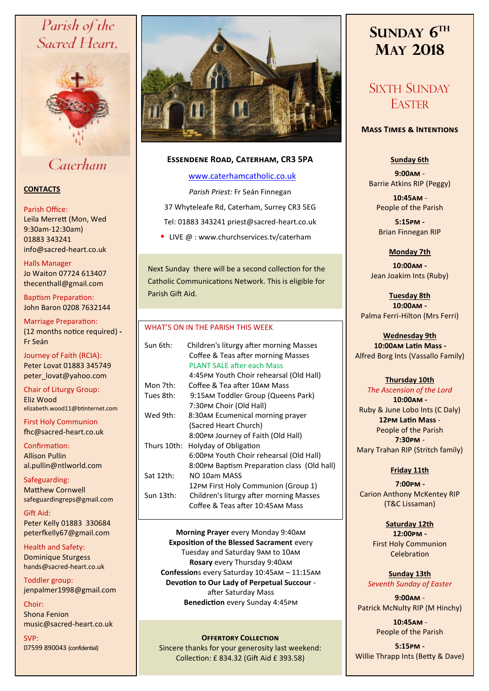## Parish of the Sacred Heart,



Caterham

### **CONTACTS**

#### Parish Office:

Leila Merrett (Mon, Wed 9:30am-12:30am) 01883 343241 info@sacred-heart.co.uk .

### Halls Manager Jo Waiton 07724 613407

thecenthall@gmail.com

Baptism Preparation: John Baron 0208 7632144

Marriage Preparation: (12 months notice required) **-** Fr Seán

Journey of Faith (RCIA): Peter Lovat 01883 345749 peter\_lovat@yahoo.com

Chair of Liturgy Group: Eliz Wood elizabeth.wood11@btinternet.com

First Holy Communion fhc@sacred-heart.co.uk

Confirmation: Allison Pullin al.pullin@ntlworld.com

Safeguarding: Matthew Cornwell safeguardingreps@gmail.com

Gift Aid: Peter Kelly 01883 330684 peterfkelly67@gmail.com

Health and Safety: Dominique Sturgess hands@sacred-heart.co.uk

Toddler group: jenpalmer1998@gmail.com

Choir: Shona Fenion music@sacred-heart.co.uk

SVP: 07599 890043 (confidential)



### **Essendene Road, Caterham, CR3 5PA**

### [www.caterhamcatholic.co.uk](http://Www.caterhamcatholic.co.uk)

*Parish Priest:* Fr Seán Finnegan 37 Whyteleafe Rd, Caterham, Surrey CR3 5EG Tel: 01883 343241 priest@sacred-heart.co.uk

• LIVE  $@:www.churchservices.tv/caterham$ 

Next Sunday there will be a second collection for the Catholic Communications Network. This is eligible for Parish Gift Aid.

#### WHAT'S ON IN THE PARISH THIS WEEK.

| Sun 6th:    | Children's liturgy after morning Masses<br>Coffee & Teas after morning Masses<br><b>PLANT SALE after each Mass</b> |
|-------------|--------------------------------------------------------------------------------------------------------------------|
|             | 4:45PM Youth Choir rehearsal (Old Hall)                                                                            |
| Mon 7th:    | Coffee & Tea after 10AM Mass                                                                                       |
| Tues 8th:   | 9:15AM Toddler Group (Queens Park)                                                                                 |
|             | 7:30PM Choir (Old Hall)                                                                                            |
| Wed 9th:    | 8:30AM Ecumenical morning prayer                                                                                   |
|             | (Sacred Heart Church)                                                                                              |
|             | 8:00PM Journey of Faith (Old Hall)                                                                                 |
| Thurs 10th: | Holyday of Obligation                                                                                              |
|             | 6:00PM Youth Choir rehearsal (Old Hall)                                                                            |
|             | 8:00PM Baptism Preparation class (Old hall)                                                                        |
| Sat 12th:   | NO 10am MASS                                                                                                       |
|             | 12PM First Holy Communion (Group 1)                                                                                |
| Sun 13th:   | Children's liturgy after morning Masses<br>Coffee & Teas after 10:45AM Mass                                        |
|             |                                                                                                                    |

**Morning Prayer** every Monday 9:40am **Exposition of the Blessed Sacrament** every Tuesday and Saturday 9am to 10am **Rosary** every Thursday 9:40am **Confession**s every Saturday 10:45am – 11:15am **Devotion to Our Lady of Perpetual Succour**  after Saturday Mass **Benediction** every Sunday 4:45pm

### **OFFERTORY COLLECTION**

Sincere thanks for your generosity last weekend: Collection: £ 834.32 (Gift Aid £ 393.58)

# **SUNDAY 6 TH MAY 2018**

## SIXTH SUNDAY **EASTER**

#### **Mass Times & Intentions**

### **Sunday 6th**

**9:00am** - Barrie Atkins RIP (Peggy)

.**10:45am** - People of the Parish

**5:15pm -** Brian Finnegan RIP

### **Monday 7th**

**10:00am -**  Jean Joakim Ints (Ruby)

**Tuesday 8th 10:00am -** Palma Ferri-Hilton (Mrs Ferri)

## **Wednesday 9th**

.**10:00am Latin Mass -** Alfred Borg Ints (Vassallo Family)

#### **Thursday 10th**

*The Ascension of the Lord* .**10:00am -** Ruby & June Lobo Ints (C Daly) **12pm Latin Mass** - People of the Parish **7:30pm** - Mary Trahan RIP (Stritch family)

#### **Friday 11th**

.**7:00pm -**  Carion Anthony McKentey RIP (T&C Lissaman)

> **Saturday 12th 12:00pm -**

First Holy Communion Celebration

**Sunday 13th** *Seventh Sunday of Easter*

**9:00am** - Patrick McNulty RIP (M Hinchy)

> .**10:45am** - People of the Parish

**5:15pm -** Willie Thrapp Ints (Betty & Dave)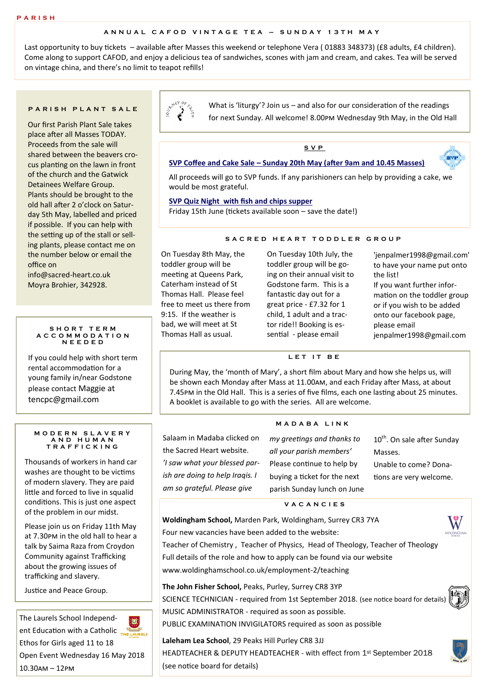#### **A N N U A L C A F O D V I N T A G E T E A – S U N D A Y 1 3 T H M A Y**

Last opportunity to buy tickets – available after Masses this weekend or telephone Vera (01883 348373) (£8 adults, £4 children). Come along to support CAFOD, and enjoy a delicious tea of sandwiches, scones with jam and cream, and cakes. Tea will be served on vintage china, and there's no limit to teapot refills!

#### **P A R I S H P L A N T S A L E**

Our first Parish Plant Sale takes place after all Masses TODAY. Proceeds from the sale will shared between the beavers crocus planting on the lawn in front of the church and the Gatwick Detainees Welfare Group. Plants should be brought to the old hall after 2 o'clock on Saturday 5th May, labelled and priced if possible. If you can help with the setting up of the stall or selling plants, please contact me on the number below or email the office on

info@sacred-heart.co.uk Moyra Brohier, 342928.

#### **S H O R T T E R M A C C O M M O D A T I O N N E E D E D**

If you could help with short term rental accommodation for a young family in/near Godstone please contact Maggie at tencpc@gmail.com

#### **M O D E R N S L A V E R Y A N D H U M A N T R A F F I C K I N G**

Thousands of workers in hand car washes are thought to be victims of modern slavery. They are paid little and forced to live in squalid conditions. This is just one aspect of the problem in our midst.

Please join us on Friday 11th May at 7.30pm in the old hall to hear a talk by Saima Raza from Croydon Community against Trafficking about the growing issues of trafficking and slavery.

Justice and Peace Group.

The Laurels School Independent Education with a Catholic Ethos for Girls aged 11 to 18



Open Event Wednesday 16 May 2018 10.30am – 12pm



What is 'liturgy'? Join us – and also for our consideration of the readings for next Sunday. All welcome! 8.00pm Wednesday 9th May, in the Old Hall

### **S V P**

#### **SVP Coffee and Cake Sale – Sunday 20th May (after 9am and 10.45 Masses)**

All proceeds will go to SVP funds. If any parishioners can help by providing a cake, we would be most grateful.

#### **SVP Quiz Night with fish and chips supper**

Friday 15th June (tickets available soon – save the date!)

#### **S A C R E D H E A R T T O D D L E R G R O U P**

On Tuesday 8th May, the toddler group will be meeting at Queens Park, Caterham instead of St Thomas Hall. Please feel free to meet us there from 9:15. If the weather is bad, we will meet at St Thomas Hall as usual.

On Tuesday 10th July, the toddler group will be going on their annual visit to Godstone farm. This is a fantastic day out for a great price - £7.32 for 1 child, 1 adult and a tractor ride!! Booking is essential - please email

'jenpalmer1998@gmail.com' to have your name put onto the list! If you want further information on the toddler group or if you wish to be added onto our facebook page, please email jenpalmer1998@gmail.com

 $= 570$ 

#### **L E T I T B E**

During May, the 'month of Mary', a short film about Mary and how she helps us, will be shown each Monday after Mass at 11.00am, and each Friday after Mass, at about 7.45pm in the Old Hall. This is a series of five films, each one lasting about 25 minutes. A booklet is available to go with the series. All are welcome.

#### **M A D A B A L I N K**

Salaam in Madaba clicked on the Sacred Heart website.

*'I saw what your blessed parish are doing to help Iraqis. I am so grateful. Please give* 

*my greetings and thanks to all your parish members'*  Please continue to help by buying a ticket for the next parish Sunday lunch on June

10<sup>th</sup>. On sale after Sunday Masses. Unable to come? Donations are very welcome.

#### **V A C A N C I E S**

**Woldingham School,** Marden Park, Woldingham, Surrey CR3 7YA

Four new vacancies have been added to the website:

Teacher of Chemistry , Teacher of Physics, Head of Theology, Teacher of Theology Full details of the role and how to apply can be found via our website www.woldinghamschool.co.uk/employment-2/teaching

**The John Fisher School,** Peaks, Purley, Surrey CR8 3YP

SCIENCE TECHNICIAN - required from 1st September 2018. (see notice board for details) MUSIC ADMINISTRATOR - required as soon as possible.

PUBLIC EXAMINATION INVIGILATORS required as soon as possible

**Laleham Lea School**, 29 Peaks Hill Purley CR8 3JJ HEADTEACHER & DEPUTY HEADTEACHER - with effect from 1st September 2018 (see notice board for details)



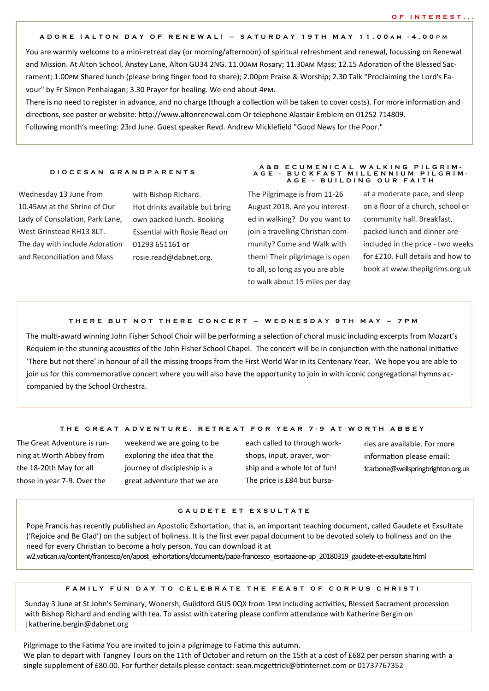#### **A D O R E ( A L T O N D A Y O F R E N E W A L ) – S A T U R D A Y 1 9 T H M A Y 1 1 . 0 0 A M - 4 . 0 0 P M**

You are warmly welcome to a mini-retreat day (or morning/afternoon) of spiritual refreshment and renewal, focussing on Renewal and Mission. At Alton School, Anstey Lane, Alton GU34 2NG. 11.00am Rosary; 11.30am Mass; 12.15 Adoration of the Blessed Sacrament; 1.00pm Shared lunch (please bring finger food to share); 2.00pm Praise & Worship; 2.30 Talk "Proclaiming the Lord's Favour" by Fr Simon Penhalagan; 3.30 Prayer for healing. We end about 4pm.

There is no need to register in advance, and no charge (though a collection will be taken to cover costs). For more information and directions, see poster or website: http://www.altonrenewal.com Or telephone Alastair Emblem on 01252 714809. Following month's meeting: 23rd June. Guest speaker Revd. Andrew Micklefield "Good News for the Poor."

#### **D I O C E S A N G R A N D P A R E N T S**

Wednesday 13 June from 10.45am at the Shrine of Our Lady of Consolation, Park Lane, West Grinstead RH13 8LT. The day with include Adoration and Reconciliation and Mass

with Bishop Richard. Hot drinks available but bring own packed lunch. Booking Essential with Rosie Read on 01293 651161 or rosie.read@dabnet,org.

The Pilgrimage is from 11-26 August 2018. Are you interested in walking? Do you want to join a travelling Christian community? Come and Walk with them! Their pilgrimage is open to all, so long as you are able to walk about 15 miles per day at a moderate pace, and sleep on a floor of a church, school or community hall. Breakfast, packed lunch and dinner are included in the price - two weeks for £210. Full details and how to book at www.thepilgrims.org.uk

**A & B E C U M E N I C A L W A L K I N G P I L G R I M - A G E - B U C K F A S T M I L L E N N I U M P I L G R I M - A G E - B U I L D I N G O U R F A I T H**

#### **T H E R E B U T N O T T H E R E C O N C E R T – W E D N E S D A Y 9 T H M A Y – 7 P M**

The multi-award winning John Fisher School Choir will be performing a selection of choral music including excerpts from Mozart's Requiem in the stunning acoustics of the John Fisher School Chapel. The concert will be in conjunction with the national initiative 'There but not there' in honour of all the missing troops from the First World War in its Centenary Year. We hope you are able to join us for this commemorative concert where you will also have the opportunity to join in with iconic congregational hymns accompanied by the School Orchestra.

#### **T H E G R E A T A D V E N T U R E . R E T R E A T F O R Y E A R 7 - 9 A T W O R T H A B B E Y**

The Great Adventure is running at Worth Abbey from the 18-20th May for all those in year 7-9. Over the

weekend we are going to be exploring the idea that the journey of discipleship is a great adventure that we are

each called to through workshops, input, prayer, worship and a whole lot of fun! The price is £84 but bursa-

ries are available. For more information please email: fcarbone@wellspringbrighton.org.uk

#### **G A U D E T E E T E X S U L T A T E**

Pope Francis has recently published an Apostolic Exhortation, that is, an important teaching document, called Gaudete et Exsultate ('Rejoice and Be Glad') on the subject of holiness. It is the first ever papal document to be devoted solely to holiness and on the need for every Christian to become a holy person. You can download it at

w2.vatican.va/content/francesco/en/apost\_exhortations/documents/papa-francesco\_esortazione-ap\_20180319\_gaudete-et-exsultate.html

#### **F A M I L Y F U N D A Y T O C E L E B R A T E T H E F E A S T O F C O R P U S C H R I S T I**

Sunday 3 June at St John's Seminary, Wonersh, Guildford GU5 0QX from 1pm including activities, Blessed Sacrament procession with Bishop Richard and ending with tea. To assist with catering please confirm attendance with Katherine Bergin on |katherine.bergin@dabnet.org

Pilgrimage to the Fatima You are invited to join a pilgrimage to Fatima this autumn.

We plan to depart with Tangney Tours on the 11th of October and return on the 15th at a cost of £682 per person sharing with a single supplement of £80.00. For further details please contact: sean.mcgettrick@btinternet.com or 01737767352